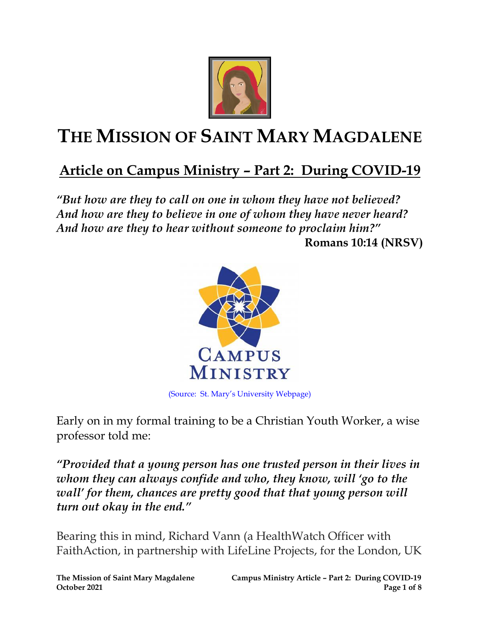

## **THE MISSION OF SAINT MARY MAGDALENE**

## **Article on Campus Ministry – Part 2: During COVID-19**

*"But how are they to call on one in whom they have not believed? And how are they to believe in one of whom they have never heard? And how are they to hear without someone to proclaim him?"*  **Romans 10:14 (NRSV)**



(Source: St. Mary's University Webpage)

Early on in my formal training to be a Christian Youth Worker, a wise professor told me:

*"Provided that a young person has one trusted person in their lives in whom they can always confide and who, they know, will 'go to the wall' for them, chances are pretty good that that young person will turn out okay in the end."*

Bearing this in mind, Richard Vann (a HealthWatch Officer with FaithAction, in partnership with LifeLine Projects, for the London, UK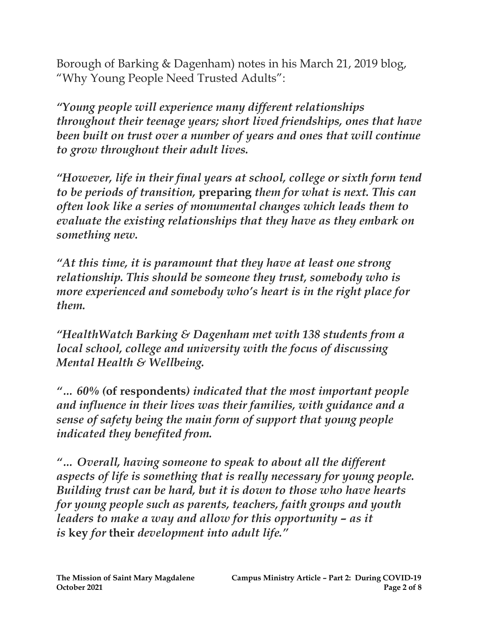Borough of Barking & Dagenham) notes in his March 21, 2019 blog, "Why Young People Need Trusted Adults":

*"Young people will experience many different relationships throughout their teenage years; short lived friendships, ones that have been built on trust over a number of years and ones that will continue to grow throughout their adult lives.*

*"However, life in their final years at school, college or sixth form tend to be periods of transition,* **preparing** *them for what is next. This can often look like a series of monumental changes which leads them to evaluate the existing relationships that they have as they embark on something new.*

*"At this time, it is paramount that they have at least one strong relationship. This should be someone they trust, somebody who is more experienced and somebody who's heart is in the right place for them.*

*"HealthWatch Barking & Dagenham met with 138 students from a local school, college and university with the focus of discussing Mental Health & Wellbeing.*

*"… 60% (***of respondents***) indicated that the most important people and influence in their lives was their families, with guidance and a sense of safety being the main form of support that young people indicated they benefited from.*

*"… Overall, having someone to speak to about all the different aspects of life is something that is really necessary for young people. Building trust can be hard, but it is down to those who have hearts for young people such as parents, teachers, faith groups and youth leaders to make a way and allow for this opportunity – as it is* **key** *for* **their** *development into adult life."*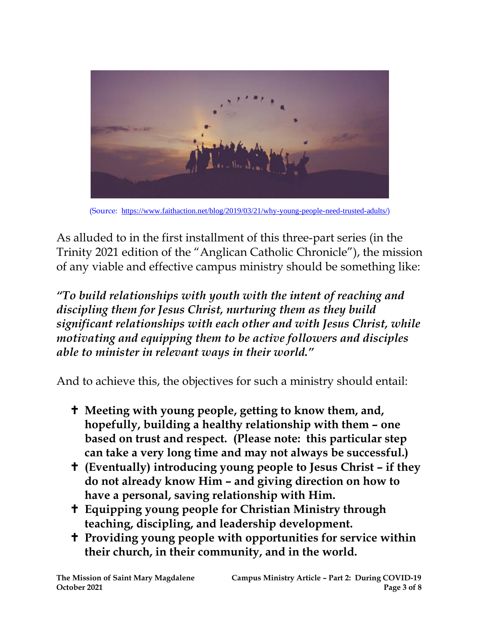

(Source: <https://www.faithaction.net/blog/2019/03/21/why-young-people-need-trusted-adults/>)

As alluded to in the first installment of this three-part series (in the Trinity 2021 edition of the "Anglican Catholic Chronicle"), the mission of any viable and effective campus ministry should be something like:

*"To build relationships with youth with the intent of reaching and discipling them for Jesus Christ, nurturing them as they build significant relationships with each other and with Jesus Christ, while motivating and equipping them to be active followers and disciples able to minister in relevant ways in their world."*

And to achieve this, the objectives for such a ministry should entail:

- **Meeting with young people, getting to know them, and, hopefully, building a healthy relationship with them – one based on trust and respect. (Please note: this particular step can take a very long time and may not always be successful.)**
- **(Eventually) introducing young people to Jesus Christ – if they do not already know Him – and giving direction on how to have a personal, saving relationship with Him.**
- **Equipping young people for Christian Ministry through teaching, discipling, and leadership development.**
- **Providing young people with opportunities for service within their church, in their community, and in the world.**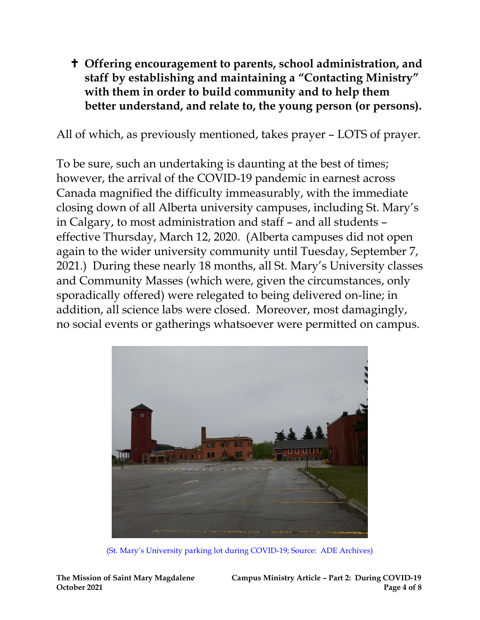## **Offering encouragement to parents, school administration, and staff by establishing and maintaining a "Contacting Ministry" with them in order to build community and to help them better understand, and relate to, the young person (or persons).**

All of which, as previously mentioned, takes prayer – LOTS of prayer.

To be sure, such an undertaking is daunting at the best of times; however, the arrival of the COVID-19 pandemic in earnest across Canada magnified the difficulty immeasurably, with the immediate closing down of all Alberta university campuses, including St. Mary's in Calgary, to most administration and staff – and all students – effective Thursday, March 12, 2020. (Alberta campuses did not open again to the wider university community until Tuesday, September 7, 2021.) During these nearly 18 months, all St. Mary's University classes and Community Masses (which were, given the circumstances, only sporadically offered) were relegated to being delivered on-line; in addition, all science labs were closed. Moreover, most damagingly, no social events or gatherings whatsoever were permitted on campus.



(St. Mary's University parking lot during COVID-19; Source: ADE Archives)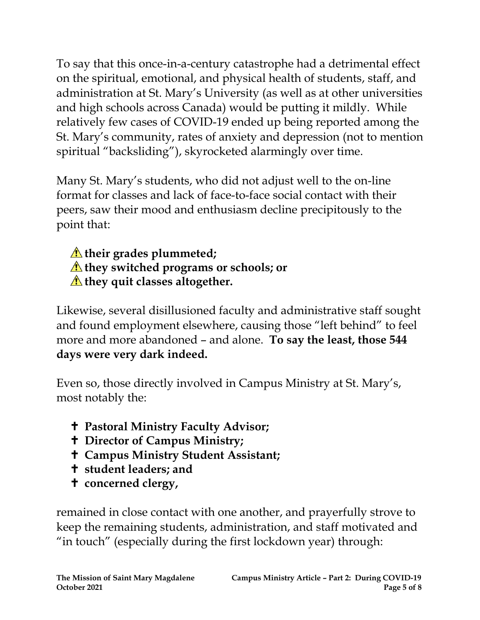To say that this once-in-a-century catastrophe had a detrimental effect on the spiritual, emotional, and physical health of students, staff, and administration at St. Mary's University (as well as at other universities and high schools across Canada) would be putting it mildly. While relatively few cases of COVID-19 ended up being reported among the St. Mary's community, rates of anxiety and depression (not to mention spiritual "backsliding"), skyrocketed alarmingly over time.

Many St. Mary's students, who did not adjust well to the on-line format for classes and lack of face-to-face social contact with their peers, saw their mood and enthusiasm decline precipitously to the point that:

## *T* their grades plummeted; **they switched programs or schools; or they quit classes altogether.**

Likewise, several disillusioned faculty and administrative staff sought and found employment elsewhere, causing those "left behind" to feel more and more abandoned – and alone. **To say the least, those 544 days were very dark indeed.**

Even so, those directly involved in Campus Ministry at St. Mary's, most notably the:

- **Pastoral Ministry Faculty Advisor;**
- **Director of Campus Ministry;**
- **Campus Ministry Student Assistant;**
- **student leaders; and**
- **concerned clergy,**

remained in close contact with one another, and prayerfully strove to keep the remaining students, administration, and staff motivated and "in touch" (especially during the first lockdown year) through: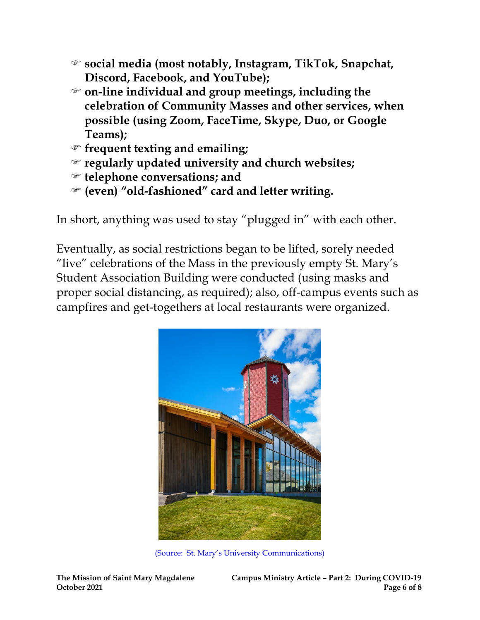- **social media (most notably, Instagram, TikTok, Snapchat, Discord, Facebook, and YouTube);**
- **on-line individual and group meetings, including the celebration of Community Masses and other services, when possible (using Zoom, FaceTime, Skype, Duo, or Google Teams);**
- **frequent texting and emailing;**
- **regularly updated university and church websites;**
- **telephone conversations; and**
- **(even) "old-fashioned" card and letter writing.**

In short, anything was used to stay "plugged in" with each other.

Eventually, as social restrictions began to be lifted, sorely needed "live" celebrations of the Mass in the previously empty St. Mary's Student Association Building were conducted (using masks and proper social distancing, as required); also, off-campus events such as campfires and get-togethers at local restaurants were organized.



(Source: St. Mary's University Communications)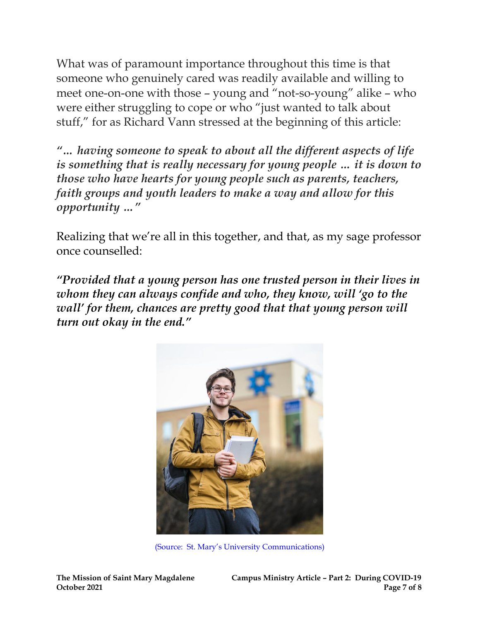What was of paramount importance throughout this time is that someone who genuinely cared was readily available and willing to meet one-on-one with those – young and "not-so-young" alike – who were either struggling to cope or who "just wanted to talk about stuff," for as Richard Vann stressed at the beginning of this article:

*"… having someone to speak to about all the different aspects of life is something that is really necessary for young people … it is down to those who have hearts for young people such as parents, teachers, faith groups and youth leaders to make a way and allow for this opportunity …"*

Realizing that we're all in this together, and that, as my sage professor once counselled:

*"Provided that a young person has one trusted person in their lives in whom they can always confide and who, they know, will 'go to the wall' for them, chances are pretty good that that young person will turn out okay in the end."*



(Source: St. Mary's University Communications)